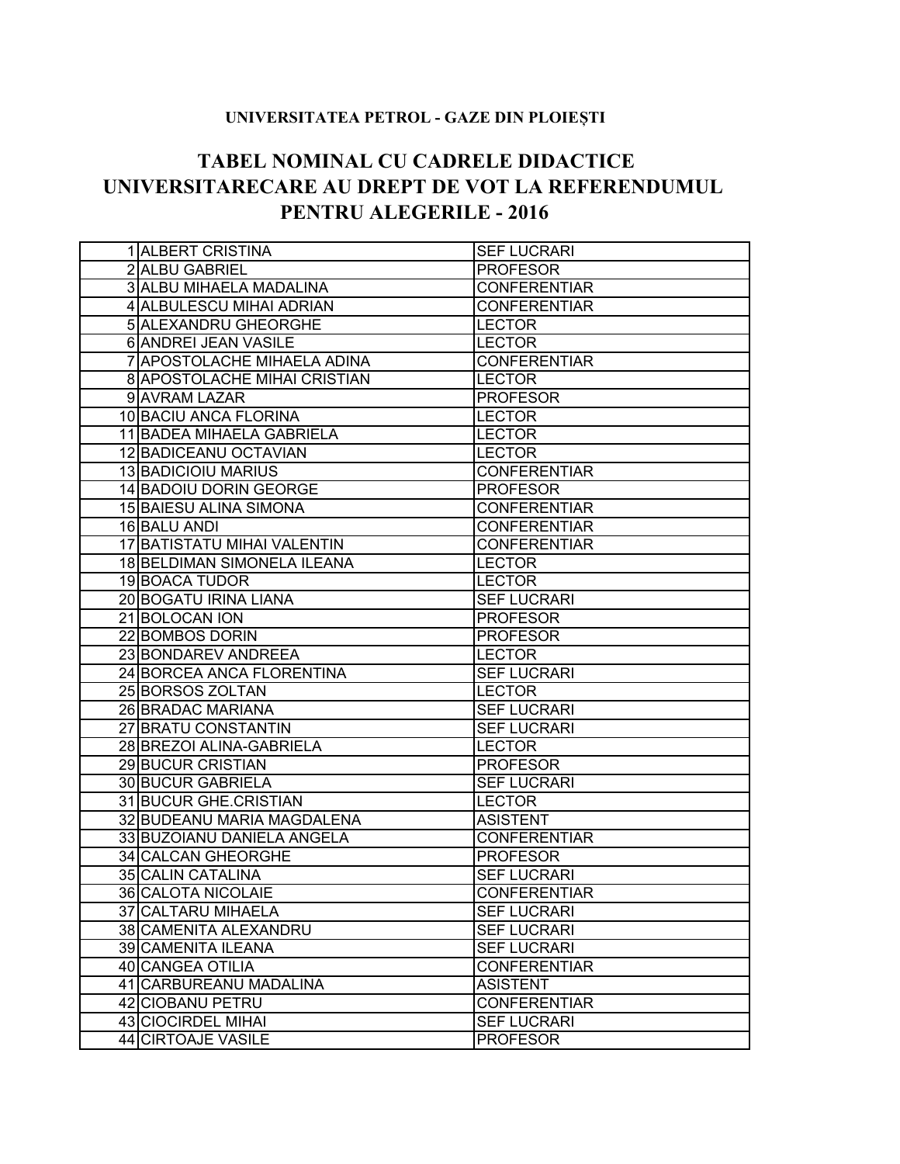## **UNIVERSITATEA PETROL - GAZE DIN PLOIEȘTI**

## **TABEL NOMINAL CU CADRELE DIDACTICE UNIVERSITARECARE AU DREPT DE VOT LA REFERENDUMUL PENTRU ALEGERILE - 2016**

| 1 ALBERT CRISTINA                  | <b>SEF LUCRARI</b>  |
|------------------------------------|---------------------|
| 2 ALBU GABRIEL                     | <b>PROFESOR</b>     |
| 3 ALBU MIHAELA MADALINA            | <b>CONFERENTIAR</b> |
| 4 ALBULESCU MIHAI ADRIAN           | <b>CONFERENTIAR</b> |
| <b>5 ALEXANDRU GHEORGHE</b>        | <b>LECTOR</b>       |
| 6 ANDREI JEAN VASILE               | <b>LECTOR</b>       |
| 7 APOSTOLACHE MIHAELA ADINA        | <b>CONFERENTIAR</b> |
| 8 APOSTOLACHE MIHAI CRISTIAN       | <b>LECTOR</b>       |
| 9 AVRAM LAZAR                      | <b>PROFESOR</b>     |
| 10 BACIU ANCA FLORINA              | <b>LECTOR</b>       |
| 11 BADEA MIHAELA GABRIELA          | <b>LECTOR</b>       |
| 12 BADICEANU OCTAVIAN              | <b>LECTOR</b>       |
| 13 BADICIOIU MARIUS                | <b>CONFERENTIAR</b> |
| 14 BADOIU DORIN GEORGE             | <b>PROFESOR</b>     |
| 15 BAIESU ALINA SIMONA             | <b>CONFERENTIAR</b> |
| 16 BALU ANDI                       | <b>CONFERENTIAR</b> |
| <b>17 BATISTATU MIHAI VALENTIN</b> | <b>CONFERENTIAR</b> |
| 18 BELDIMAN SIMONELA ILEANA        | <b>LECTOR</b>       |
| 19 BOACA TUDOR                     | <b>LECTOR</b>       |
| 20 BOGATU IRINA LIANA              | <b>SEF LUCRARI</b>  |
| 21 BOLOCAN ION                     | <b>PROFESOR</b>     |
| 22 BOMBOS DORIN                    | <b>PROFESOR</b>     |
|                                    |                     |
| 23 BONDAREV ANDREEA                | <b>LECTOR</b>       |
| 24 BORCEA ANCA FLORENTINA          | <b>SEF LUCRARI</b>  |
| 25 BORSOS ZOLTAN                   | <b>LECTOR</b>       |
| 26 BRADAC MARIANA                  | <b>SEF LUCRARI</b>  |
| 27 BRATU CONSTANTIN                | <b>SEF LUCRARI</b>  |
| 28 BREZOI ALINA-GABRIELA           | <b>LECTOR</b>       |
| 29 BUCUR CRISTIAN                  | <b>PROFESOR</b>     |
| 30 BUCUR GABRIELA                  | <b>SEF LUCRARI</b>  |
| 31 BUCUR GHE CRISTIAN              | <b>LECTOR</b>       |
| 32 BUDEANU MARIA MAGDALENA         | <b>ASISTENT</b>     |
| 33 BUZOIANU DANIELA ANGELA         | <b>CONFERENTIAR</b> |
| 34 CALCAN GHEORGHE                 | <b>PROFESOR</b>     |
| 35 CALIN CATALINA                  | <b>SEF LUCRARI</b>  |
| 36 CALOTA NICOLAIE                 | <b>CONFERENTIAR</b> |
| 37 CALTARU MIHAELA                 | <b>SEF LUCRARI</b>  |
| 38 CAMENITA ALEXANDRU              | <b>SEF LUCRARI</b>  |
| 39 CAMENITA ILEANA                 | <b>SEF LUCRARI</b>  |
| 40 CANGEA OTILIA                   | <b>CONFERENTIAR</b> |
| 41 CARBUREANU MADALINA             | <b>ASISTENT</b>     |
| 42 CIOBANU PETRU                   | <b>CONFERENTIAR</b> |
| 43 CIOCIRDEL MIHAI                 | <b>SEF LUCRARI</b>  |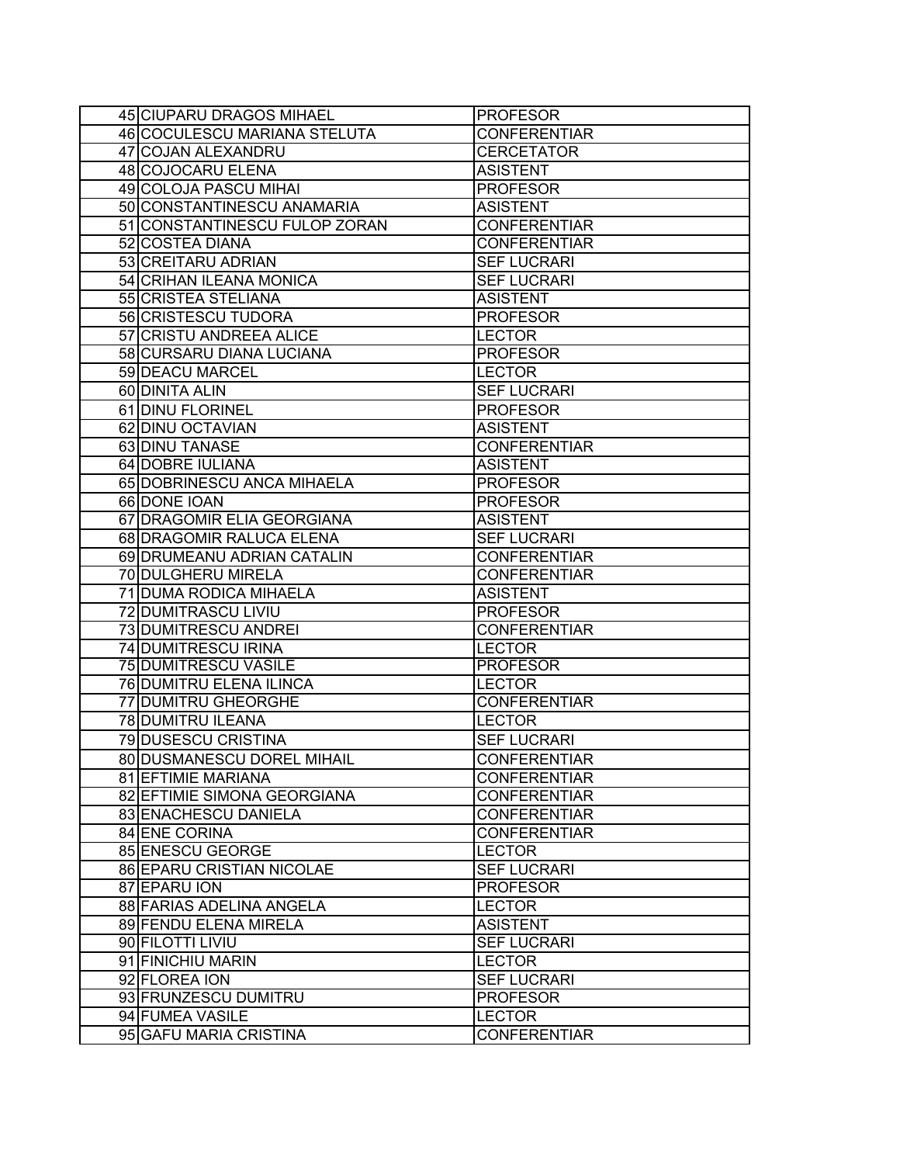| 45 CIUPARU DRAGOS MIHAEL      | <b>PROFESOR</b>     |
|-------------------------------|---------------------|
| 46 COCULESCU MARIANA STELUTA  | <b>CONFERENTIAR</b> |
| 47 COJAN ALEXANDRU            | <b>CERCETATOR</b>   |
| 48 COJOCARU ELENA             | <b>ASISTENT</b>     |
| 49 COLOJA PASCU MIHAI         | <b>PROFESOR</b>     |
| 50 CONSTANTINESCU ANAMARIA    | <b>ASISTENT</b>     |
| 51 CONSTANTINESCU FULOP ZORAN | <b>CONFERENTIAR</b> |
| 52 COSTEA DIANA               | <b>CONFERENTIAR</b> |
| 53 CREITARU ADRIAN            | <b>SEF LUCRARI</b>  |
| 54 CRIHAN ILEANA MONICA       | <b>SEF LUCRARI</b>  |
| 55 CRISTEA STELIANA           | <b>ASISTENT</b>     |
| 56 CRISTESCU TUDORA           | <b>PROFESOR</b>     |
| 57 CRISTU ANDREEA ALICE       | <b>LECTOR</b>       |
| 58 CURSARU DIANA LUCIANA      | <b>PROFESOR</b>     |
| 59 DEACU MARCEL               | <b>LECTOR</b>       |
| 60 DINITA ALIN                | <b>SEF LUCRARI</b>  |
| 61 DINU FLORINEL              | <b>PROFESOR</b>     |
| 62 DINU OCTAVIAN              | <b>ASISTENT</b>     |
| 63 DINU TANASE                | <b>CONFERENTIAR</b> |
| 64 DOBRE IULIANA              | <b>ASISTENT</b>     |
| 65 DOBRINESCU ANCA MIHAELA    | <b>PROFESOR</b>     |
| 66 DONE IOAN                  | <b>PROFESOR</b>     |
| 67 DRAGOMIR ELIA GEORGIANA    | <b>ASISTENT</b>     |
| 68 DRAGOMIR RALUCA ELENA      | <b>SEF LUCRARI</b>  |
| 69 DRUMEANU ADRIAN CATALIN    | <b>CONFERENTIAR</b> |
| 70 DULGHERU MIRELA            | <b>CONFERENTIAR</b> |
| 71 DUMA RODICA MIHAELA        | <b>ASISTENT</b>     |
| 72 DUMITRASCU LIVIU           | <b>PROFESOR</b>     |
| 73 DUMITRESCU ANDREI          | <b>CONFERENTIAR</b> |
| 74 DUMITRESCU IRINA           | <b>LECTOR</b>       |
| <b>75 DUMITRESCU VASILE</b>   | <b>PROFESOR</b>     |
| 76 DUMITRU ELENA ILINCA       | <b>LECTOR</b>       |
| 77 DUMITRU GHEORGHE           | <b>CONFERENTIAR</b> |
| 78 DUMITRU ILEANA             | <b>LECTOR</b>       |
| 79 DUSESCU CRISTINA           | <b>SEF LUCRARI</b>  |
| 80 DUSMANESCU DOREL MIHAIL    | <b>CONFERENTIAR</b> |
| 81 EFTIMIE MARIANA            | <b>CONFERENTIAR</b> |
| 82 EFTIMIE SIMONA GEORGIANA   | <b>CONFERENTIAR</b> |
| 83 ENACHESCU DANIELA          | <b>CONFERENTIAR</b> |
| 84 ENE CORINA                 | <b>CONFERENTIAR</b> |
| 85 ENESCU GEORGE              | <b>LECTOR</b>       |
| 86 EPARU CRISTIAN NICOLAE     | <b>SEF LUCRARI</b>  |
| 87 EPARU ION                  | <b>PROFESOR</b>     |
| 88 FARIAS ADELINA ANGELA      | <b>LECTOR</b>       |
| 89 FENDU ELENA MIRELA         | <b>ASISTENT</b>     |
| 90 FILOTTI LIVIU              | <b>SEF LUCRARI</b>  |
| 91 FINICHIU MARIN             | <b>LECTOR</b>       |
| 92 FLOREA ION                 | <b>SEF LUCRARI</b>  |
| 93 FRUNZESCU DUMITRU          | <b>PROFESOR</b>     |
| 94 FUMEA VASILE               | <b>LECTOR</b>       |
| 95 GAFU MARIA CRISTINA        | <b>CONFERENTIAR</b> |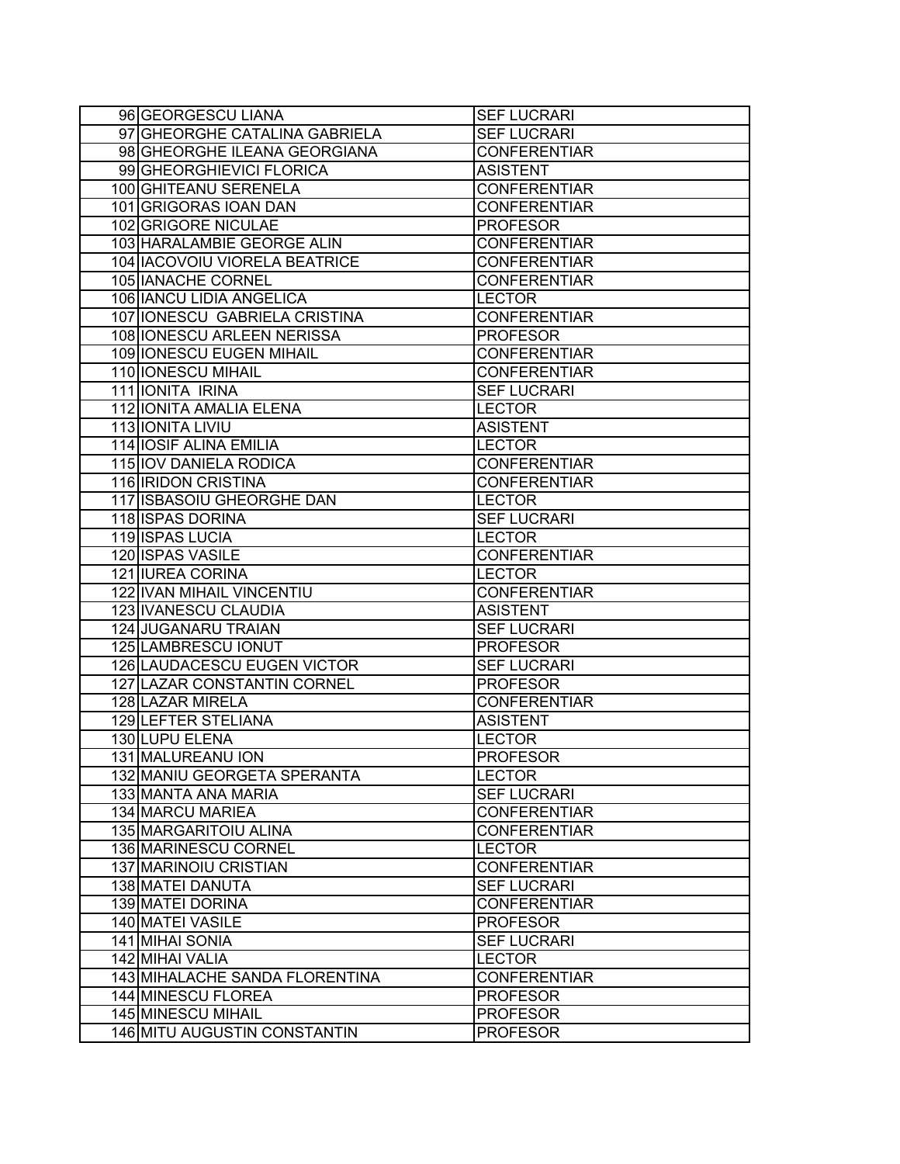| 96 GEORGESCU LIANA              | <b>SEF LUCRARI</b>  |
|---------------------------------|---------------------|
| 97 GHEORGHE CATALINA GABRIELA   | <b>SEF LUCRARI</b>  |
| 98 GHEORGHE ILEANA GEORGIANA    | <b>CONFERENTIAR</b> |
| 99 GHEORGHIEVICI FLORICA        | <b>ASISTENT</b>     |
| 100 GHITEANU SERENELA           | <b>CONFERENTIAR</b> |
| 101 GRIGORAS IOAN DAN           | <b>CONFERENTIAR</b> |
| 102 GRIGORE NICULAE             | <b>PROFESOR</b>     |
| 103 HARALAMBIE GEORGE ALIN      | <b>CONFERENTIAR</b> |
| 104   IACOVOIU VIORELA BEATRICE | <b>CONFERENTIAR</b> |
| 105 IANACHE CORNEL              | <b>CONFERENTIAR</b> |
| 106 IANCU LIDIA ANGELICA        | <b>LECTOR</b>       |
| 107 IONESCU GABRIELA CRISTINA   | <b>CONFERENTIAR</b> |
| 108 IONESCU ARLEEN NERISSA      | <b>PROFESOR</b>     |
| 109 IONESCU EUGEN MIHAIL        | <b>CONFERENTIAR</b> |
| 110 IONESCU MIHAIL              | <b>CONFERENTIAR</b> |
| 111 IONITA IRINA                | <b>SEF LUCRARI</b>  |
| 112 IONITA AMALIA ELENA         | <b>LECTOR</b>       |
| 113 IONITA LIVIU                | <b>ASISTENT</b>     |
| 114 IOSIF ALINA EMILIA          | <b>LECTOR</b>       |
| 115 IOV DANIELA RODICA          | <b>CONFERENTIAR</b> |
| 116 IRIDON CRISTINA             | <b>CONFERENTIAR</b> |
| 117 ISBASOIU GHEORGHE DAN       | <b>LECTOR</b>       |
| 118 ISPAS DORINA                | <b>SEF LUCRARI</b>  |
| 119 ISPAS LUCIA                 | <b>LECTOR</b>       |
| 120 ISPAS VASILE                | <b>CONFERENTIAR</b> |
| 121 IUREA CORINA                | <b>LECTOR</b>       |
| 122 IVAN MIHAIL VINCENTIU       | <b>CONFERENTIAR</b> |
| 123 IVANESCU CLAUDIA            | <b>ASISTENT</b>     |
| 124 JUGANARU TRAIAN             | <b>SEF LUCRARI</b>  |
| 125 LAMBRESCU IONUT             | <b>PROFESOR</b>     |
| 126 LAUDACESCU EUGEN VICTOR     | <b>SEF LUCRARI</b>  |
| 127 LAZAR CONSTANTIN CORNEL     | <b>PROFESOR</b>     |
| 128 LAZAR MIRELA                | <b>CONFERENTIAR</b> |
| <b>129 LEFTER STELIANA</b>      | <b>ASISTENT</b>     |
| 130 LUPU ELENA                  | <b>LECTOR</b>       |
| 131 MALUREANU ION               | <b>PROFESOR</b>     |
| 132 MANIU GEORGETA SPERANTA     | <b>LECTOR</b>       |
| 133 MANTA ANA MARIA             | <b>SEF LUCRARI</b>  |
| 134 MARCU MARIEA                | <b>CONFERENTIAR</b> |
| 135 MARGARITOIU ALINA           | <b>CONFERENTIAR</b> |
| 136 MARINESCU CORNEL            | <b>LECTOR</b>       |
| 137 MARINOIU CRISTIAN           | <b>CONFERENTIAR</b> |
| 138 MATEI DANUTA                | <b>SEF LUCRARI</b>  |
| 139 MATEI DORINA                | <b>CONFERENTIAR</b> |
| 140 MATEI VASILE                | <b>PROFESOR</b>     |
| 141 MIHAI SONIA                 | <b>SEF LUCRARI</b>  |
| 142 MIHAI VALIA                 | <b>LECTOR</b>       |
| 143 MIHALACHE SANDA FLORENTINA  | <b>CONFERENTIAR</b> |
| 144 MINESCU FLOREA              | <b>PROFESOR</b>     |
| 145 MINESCU MIHAIL              | <b>PROFESOR</b>     |
| 146 MITU AUGUSTIN CONSTANTIN    | <b>PROFESOR</b>     |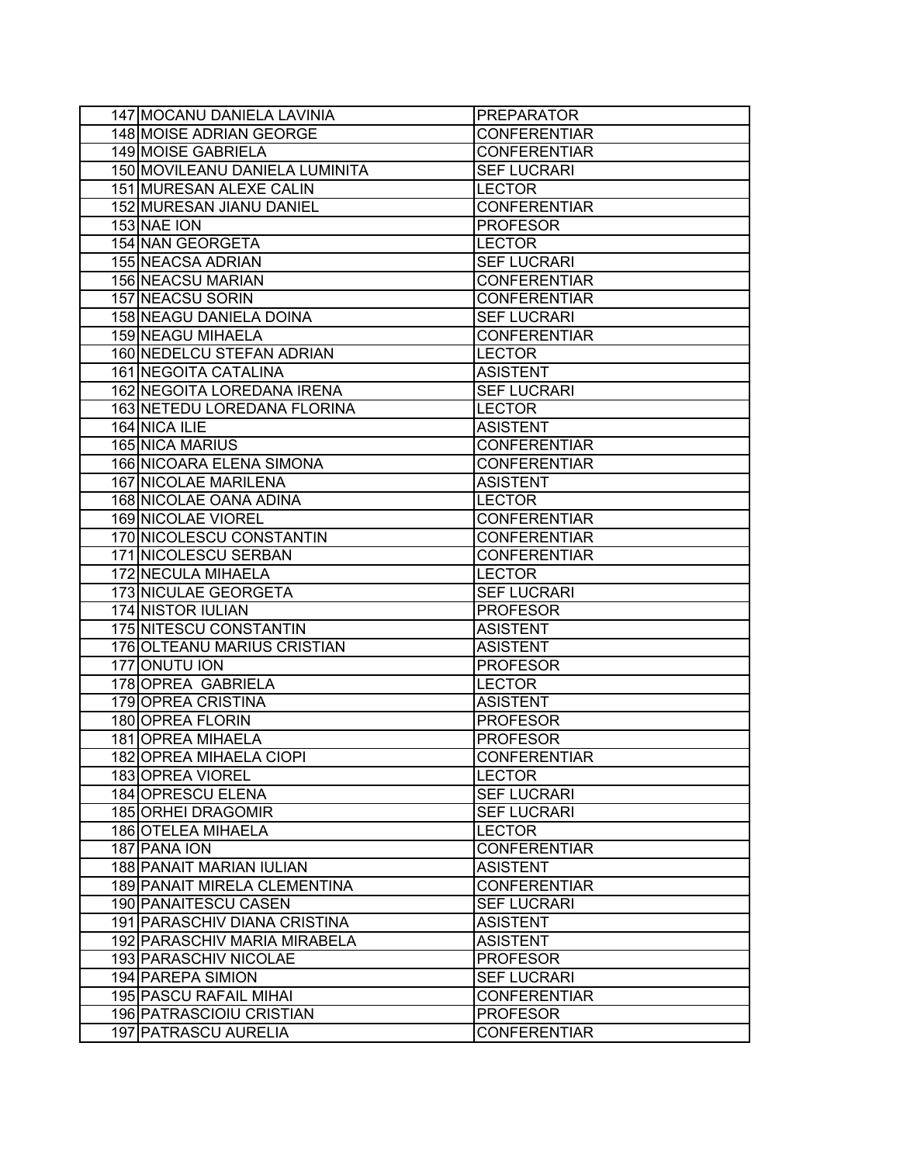| 147 MOCANU DANIELA LAVINIA     | <b>PREPARATOR</b>   |
|--------------------------------|---------------------|
| <b>148 MOISE ADRIAN GEORGE</b> | <b>CONFERENTIAR</b> |
| 149 MOISE GABRIELA             | <b>CONFERENTIAR</b> |
| 150 MOVILEANU DANIELA LUMINITA | <b>SEF LUCRARI</b>  |
| 151 MURESAN ALEXE CALIN        | <b>LECTOR</b>       |
| 152 MURESAN JIANU DANIEL       | <b>CONFERENTIAR</b> |
| 153 NAE ION                    | <b>PROFESOR</b>     |
| <b>154 NAN GEORGETA</b>        | <b>LECTOR</b>       |
| <b>155 NEACSA ADRIAN</b>       | <b>SEF LUCRARI</b>  |
| 156 NEACSU MARIAN              | <b>CONFERENTIAR</b> |
| <b>157 NEACSU SORIN</b>        | <b>CONFERENTIAR</b> |
| <b>158 NEAGU DANIELA DOINA</b> | <b>SEF LUCRARI</b>  |
| <b>159 NEAGU MIHAELA</b>       | <b>CONFERENTIAR</b> |
| 160 NEDELCU STEFAN ADRIAN      | <b>LECTOR</b>       |
| 161 NEGOITA CATALINA           | <b>ASISTENT</b>     |
| 162 NEGOITA LOREDANA IRENA     | <b>SEF LUCRARI</b>  |
| 163 NETEDU LOREDANA FLORINA    | <b>LECTOR</b>       |
| 164 NICA ILIE                  | <b>ASISTENT</b>     |
| 165 NICA MARIUS                | <b>CONFERENTIAR</b> |
| 166 NICOARA ELENA SIMONA       | <b>CONFERENTIAR</b> |
| <b>167 NICOLAE MARILENA</b>    | <b>ASISTENT</b>     |
| 168 NICOLAE OANA ADINA         | <b>LECTOR</b>       |
| 169 NICOLAE VIOREL             | <b>CONFERENTIAR</b> |
| 170 NICOLESCU CONSTANTIN       | <b>CONFERENTIAR</b> |
| 171 NICOLESCU SERBAN           | <b>CONFERENTIAR</b> |
| 172 NECULA MIHAELA             | <b>LECTOR</b>       |
| 173 NICULAE GEORGETA           | <b>SEF LUCRARI</b>  |
| 174 NISTOR IULIAN              | <b>PROFESOR</b>     |
| 175 NITESCU CONSTANTIN         | <b>ASISTENT</b>     |
| 176 OLTEANU MARIUS CRISTIAN    | <b>ASISTENT</b>     |
| 177 ONUTU ION                  | <b>PROFESOR</b>     |
| 178 OPREA GABRIELA             | <b>LECTOR</b>       |
| 179 OPREA CRISTINA             | <b>ASISTENT</b>     |
| 180 OPREA FLORIN               | <b>PROFESOR</b>     |
| 181 OPREA MIHAELA              | <b>PROFESOR</b>     |
| 182 OPREA MIHAELA CIOPI        | <b>CONFERENTIAR</b> |
| 183 OPREA VIOREL               | <b>LECTOR</b>       |
| 184 OPRESCU ELENA              | <b>SEF LUCRARI</b>  |
| 185 ORHEI DRAGOMIR             | <b>SEF LUCRARI</b>  |
| 186 OTELEA MIHAELA             | <b>LECTOR</b>       |
| 187 PANA ION                   | <b>CONFERENTIAR</b> |
| 188 PANAIT MARIAN IULIAN       | <b>ASISTENT</b>     |
| 189 PANAIT MIRELA CLEMENTINA   | <b>CONFERENTIAR</b> |
| 190 PANAITESCU CASEN           | <b>SEF LUCRARI</b>  |
| 191   PARASCHIV DIANA CRISTINA | <b>ASISTENT</b>     |
| 192 PARASCHIV MARIA MIRABELA   | <b>ASISTENT</b>     |
| 193 PARASCHIV NICOLAE          | <b>PROFESOR</b>     |
| 194 PAREPA SIMION              | <b>SEF LUCRARI</b>  |
| 195 PASCU RAFAIL MIHAI         | <b>CONFERENTIAR</b> |
| 196 PATRASCIOIU CRISTIAN       | <b>PROFESOR</b>     |
| 197 PATRASCU AURELIA           | <b>CONFERENTIAR</b> |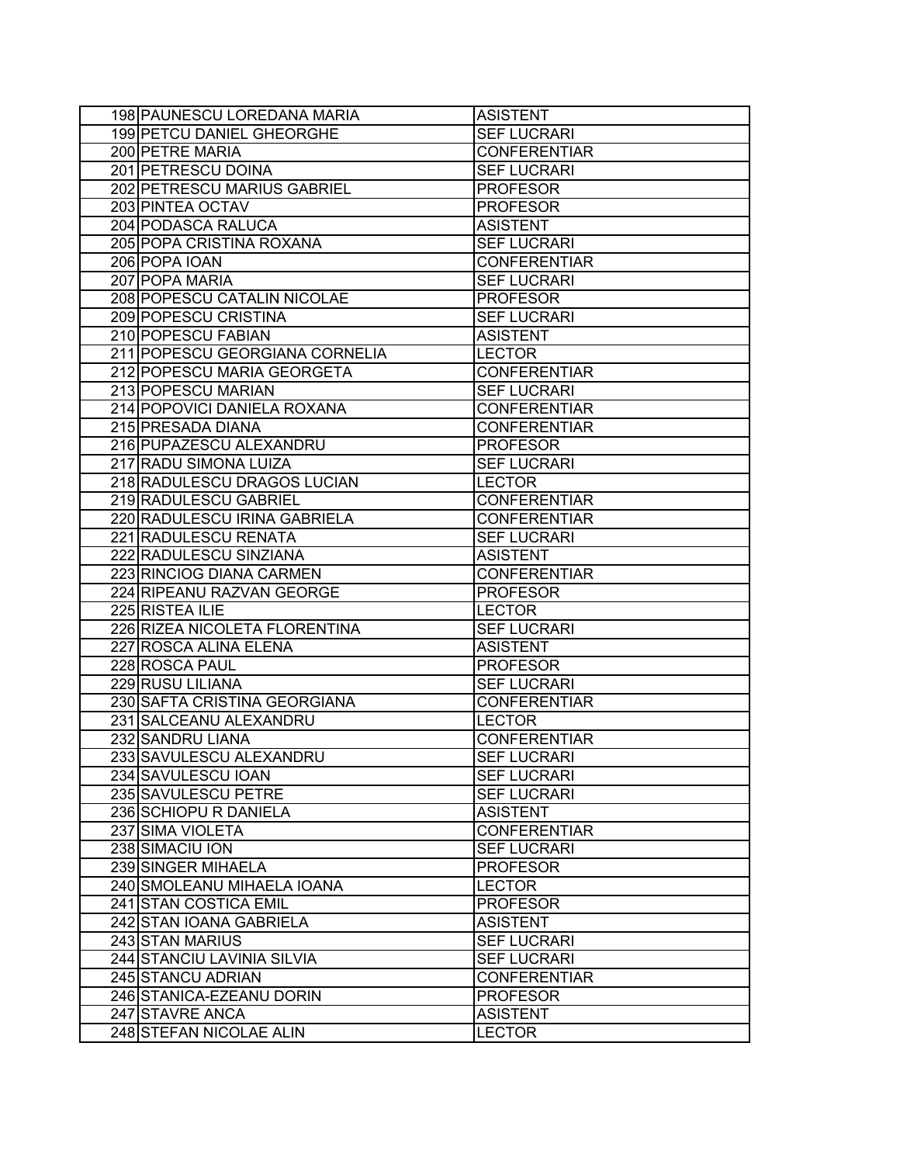| 198 PAUNESCU LOREDANA MARIA      | <b>ASISTENT</b>     |
|----------------------------------|---------------------|
| <b>199 PETCU DANIEL GHEORGHE</b> | <b>SEF LUCRARI</b>  |
| 200 PETRE MARIA                  | <b>CONFERENTIAR</b> |
| 201 PETRESCU DOINA               | <b>SEF LUCRARI</b>  |
| 202 PETRESCU MARIUS GABRIEL      | <b>PROFESOR</b>     |
| 203 PINTEA OCTAV                 | <b>PROFESOR</b>     |
| 204 PODASCA RALUCA               | <b>ASISTENT</b>     |
| 205 POPA CRISTINA ROXANA         | <b>SEF LUCRARI</b>  |
| 206 POPA IOAN                    | <b>CONFERENTIAR</b> |
| 207 POPA MARIA                   | <b>SEF LUCRARI</b>  |
| 208 POPESCU CATALIN NICOLAE      | <b>PROFESOR</b>     |
| 209 POPESCU CRISTINA             | <b>SEF LUCRARI</b>  |
| 210 POPESCU FABIAN               | <b>ASISTENT</b>     |
| 211 POPESCU GEORGIANA CORNELIA   | <b>LECTOR</b>       |
| 212 POPESCU MARIA GEORGETA       | <b>CONFERENTIAR</b> |
| 213 POPESCU MARIAN               | <b>SEF LUCRARI</b>  |
| 214 POPOVICI DANIELA ROXANA      | <b>CONFERENTIAR</b> |
| 215 PRESADA DIANA                | <b>CONFERENTIAR</b> |
| 216 PUPAZESCU ALEXANDRU          | <b>PROFESOR</b>     |
| 217 RADU SIMONA LUIZA            | <b>SEF LUCRARI</b>  |
| 218 RADULESCU DRAGOS LUCIAN      | <b>LECTOR</b>       |
| 219 RADULESCU GABRIEL            | <b>CONFERENTIAR</b> |
| 220 RADULESCU IRINA GABRIELA     | <b>CONFERENTIAR</b> |
| 221 RADULESCU RENATA             | <b>SEF LUCRARI</b>  |
| 222 RADULESCU SINZIANA           | <b>ASISTENT</b>     |
| 223 RINCIOG DIANA CARMEN         | <b>CONFERENTIAR</b> |
| 224 RIPEANU RAZVAN GEORGE        | <b>PROFESOR</b>     |
| 225 RISTEA ILIE                  | <b>LECTOR</b>       |
| 226 RIZEA NICOLETA FLORENTINA    | <b>SEF LUCRARI</b>  |
| 227 ROSCA ALINA ELENA            | <b>ASISTENT</b>     |
| 228 ROSCA PAUL                   | <b>PROFESOR</b>     |
| 229 RUSU LILIANA                 | <b>SEF LUCRARI</b>  |
| 230 SAFTA CRISTINA GEORGIANA     | <b>CONFERENTIAR</b> |
| 231 SALCEANU ALEXANDRU           | <b>LECTOR</b>       |
| 232 SANDRU LIANA                 | <b>CONFERENTIAR</b> |
| 233 SAVULESCU ALEXANDRU          | <b>SEF LUCRARI</b>  |
| 234 SAVULESCU IOAN               | <b>SEF LUCRARI</b>  |
| 235 SAVULESCU PETRE              | <b>SEF LUCRARI</b>  |
| 236 SCHIOPU R DANIELA            | <b>ASISTENT</b>     |
| 237 SIMA VIOLETA                 | <b>CONFERENTIAR</b> |
| 238 SIMACIU ION                  | <b>SEF LUCRARI</b>  |
| 239 SINGER MIHAELA               | <b>PROFESOR</b>     |
| 240 SMOLEANU MIHAELA IOANA       | <b>LECTOR</b>       |
| 241 STAN COSTICA EMIL            | <b>PROFESOR</b>     |
| 242 STAN IOANA GABRIELA          | <b>ASISTENT</b>     |
| 243 STAN MARIUS                  | <b>SEF LUCRARI</b>  |
| 244 STANCIU LAVINIA SILVIA       | <b>SEF LUCRARI</b>  |
| 245 STANCU ADRIAN                | <b>CONFERENTIAR</b> |
| 246 STANICA-EZEANU DORIN         | <b>PROFESOR</b>     |
| 247 STAVRE ANCA                  | <b>ASISTENT</b>     |
| 248 STEFAN NICOLAE ALIN          | <b>LECTOR</b>       |